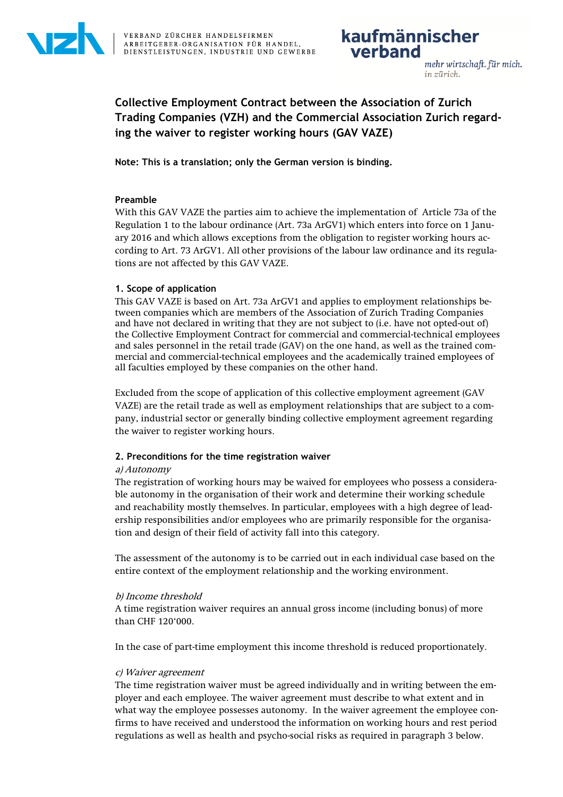

# **Collective Employment Contract between the Association of Zurich Trading Companies (VZH) and the Commercial Association Zurich regarding the waiver to register working hours (GAV VAZE)**

**Note: This is a translation; only the German version is binding.** 

# **Preamble**

With this GAV VAZE the parties aim to achieve the implementation of Article 73a of the Regulation 1 to the labour ordinance (Art. 73a ArGV1) which enters into force on 1 January 2016 and which allows exceptions from the obligation to register working hours according to Art. 73 ArGV1. All other provisions of the labour law ordinance and its regulations are not affected by this GAV VAZE.

# **1. Scope of application**

This GAV VAZE is based on Art. 73a ArGV1 and applies to employment relationships between companies which are members of the Association of Zurich Trading Companies and have not declared in writing that they are not subject to (i.e. have not opted-out of) the Collective Employment Contract for commercial and commercial-technical employees and sales personnel in the retail trade (GAV) on the one hand, as well as the trained commercial and commercial-technical employees and the academically trained employees of all faculties employed by these companies on the other hand.

Excluded from the scope of application of this collective employment agreement (GAV VAZE) are the retail trade as well as employment relationships that are subject to a company, industrial sector or generally binding collective employment agreement regarding the waiver to register working hours.

## **2. Preconditions for the time registration waiver**

## a) Autonomy

The registration of working hours may be waived for employees who possess a considerable autonomy in the organisation of their work and determine their working schedule and reachability mostly themselves. In particular, employees with a high degree of leadership responsibilities and/or employees who are primarily responsible for the organisation and design of their field of activity fall into this category.

The assessment of the autonomy is to be carried out in each individual case based on the entire context of the employment relationship and the working environment.

## b) Income threshold

A time registration waiver requires an annual gross income (including bonus) of more than CHF 120'000.

In the case of part-time employment this income threshold is reduced proportionately.

## c) Waiver agreement

The time registration waiver must be agreed individually and in writing between the employer and each employee. The waiver agreement must describe to what extent and in what way the employee possesses autonomy. In the waiver agreement the employee confirms to have received and understood the information on working hours and rest period regulations as well as health and psycho-social risks as required in paragraph 3 below.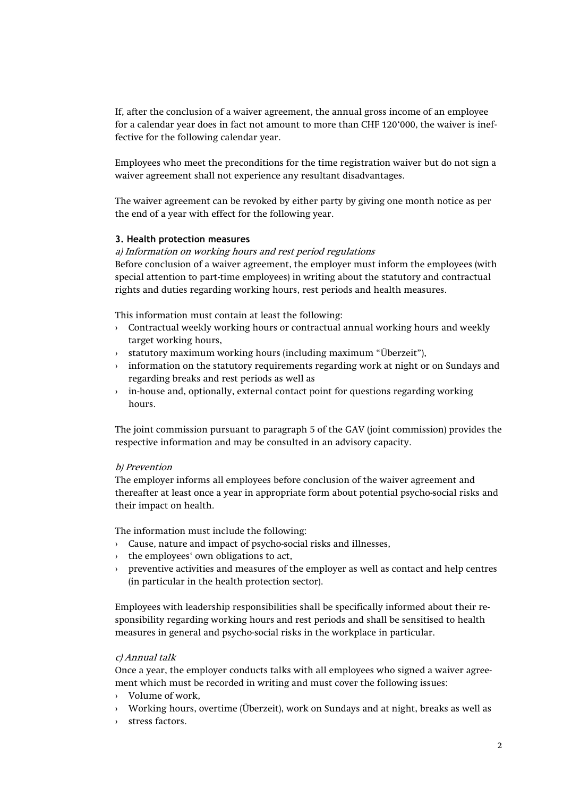If, after the conclusion of a waiver agreement, the annual gross income of an employee for a calendar year does in fact not amount to more than CHF 120'000, the waiver is ineffective for the following calendar year.

Employees who meet the preconditions for the time registration waiver but do not sign a waiver agreement shall not experience any resultant disadvantages.

The waiver agreement can be revoked by either party by giving one month notice as per the end of a year with effect for the following year.

#### **3. Health protection measures**

#### a) Information on working hours and rest period regulations

Before conclusion of a waiver agreement, the employer must inform the employees (with special attention to part-time employees) in writing about the statutory and contractual rights and duties regarding working hours, rest periods and health measures.

This information must contain at least the following:

- $\rightarrow$  Contractual weekly working hours or contractual annual working hours and weekly target working hours,
- › statutory maximum working hours (including maximum "Überzeit"),
- › information on the statutory requirements regarding work at night or on Sundays and regarding breaks and rest periods as well as
- › in-house and, optionally, external contact point for questions regarding working hours.

The joint commission pursuant to paragraph 5 of the GAV (joint commission) provides the respective information and may be consulted in an advisory capacity.

#### b) Prevention

The employer informs all employees before conclusion of the waiver agreement and thereafter at least once a year in appropriate form about potential psycho-social risks and their impact on health.

The information must include the following:

- › Cause, nature and impact of psycho-social risks and illnesses,
- › the employees' own obligations to act,
- › preventive activities and measures of the employer as well as contact and help centres (in particular in the health protection sector).

Employees with leadership responsibilities shall be specifically informed about their responsibility regarding working hours and rest periods and shall be sensitised to health measures in general and psycho-social risks in the workplace in particular.

#### c) Annual talk

Once a year, the employer conducts talks with all employees who signed a waiver agreement which must be recorded in writing and must cover the following issues:

- › Volume of work,
- › Working hours, overtime (Überzeit), work on Sundays and at night, breaks as well as
- › stress factors.